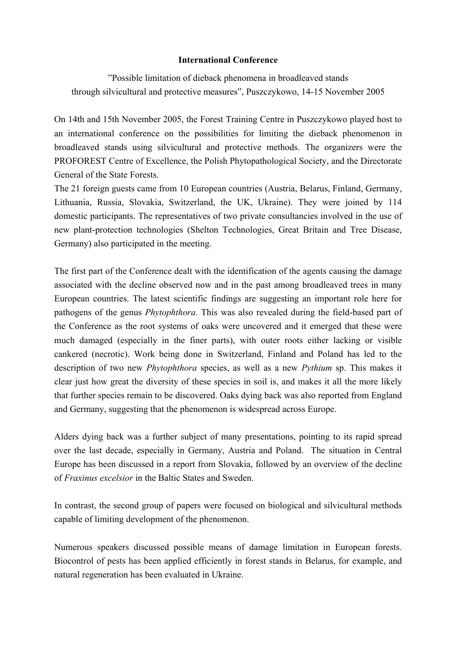## **International Conference**

"Possible limitation of dieback phenomena in broadleaved stands through silvicultural and protective measures", Puszczykowo, 14-15 November 2005

On 14th and 15th November 2005, the Forest Training Centre in Puszczykowo played host to an international conference on the possibilities for limiting the dieback phenomenon in broadleaved stands using silvicultural and protective methods. The organizers were the PROFOREST Centre of Excellence, the Polish Phytopathological Society, and the Directorate General of the State Forests.

The 21 foreign guests came from 10 European countries (Austria, Belarus, Finland, Germany, Lithuania, Russia, Slovakia, Switzerland, the UK, Ukraine). They were joined by 114 domestic participants. The representatives of two private consultancies involved in the use of new plant-protection technologies (Shelton Technologies, Great Britain and Tree Disease, Germany) also participated in the meeting.

The first part of the Conference dealt with the identification of the agents causing the damage associated with the decline observed now and in the past among broadleaved trees in many European countries. The latest scientific findings are suggesting an important role here for pathogens of the genus *Phytophthora*. This was also revealed during the field-based part of the Conference as the root systems of oaks were uncovered and it emerged that these were much damaged (especially in the finer parts), with outer roots either lacking or visible cankered (necrotic). Work being done in Switzerland, Finland and Poland has led to the description of two new *Phytophthora* species, as well as a new *Pythium* sp. This makes it clear just how great the diversity of these species in soil is, and makes it all the more likely that further species remain to be discovered. Oaks dying back was also reported from England and Germany, suggesting that the phenomenon is widespread across Europe.

Alders dying back was a further subject of many presentations, pointing to its rapid spread over the last decade, especially in Germany, Austria and Poland. The situation in Central Europe has been discussed in a report from Slovakia, followed by an overview of the decline of *Fraxinus excelsior* in the Baltic States and Sweden.

In contrast, the second group of papers were focused on biological and silvicultural methods capable of limiting development of the phenomenon.

Numerous speakers discussed possible means of damage limitation in European forests. Biocontrol of pests has been applied efficiently in forest stands in Belarus, for example, and natural regeneration has been evaluated in Ukraine.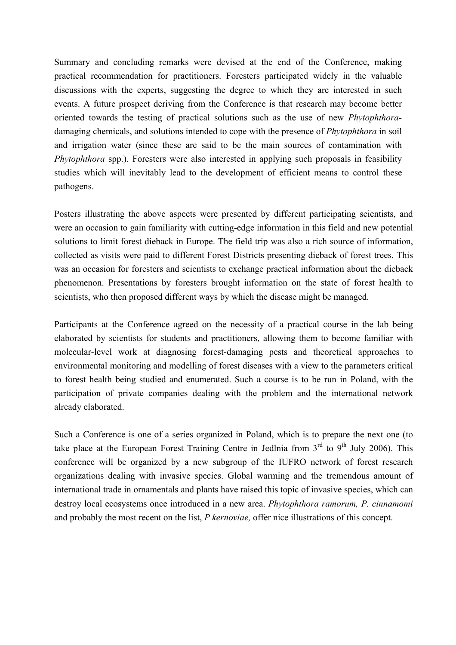Summary and concluding remarks were devised at the end of the Conference, making practical recommendation for practitioners. Foresters participated widely in the valuable discussions with the experts, suggesting the degree to which they are interested in such events. A future prospect deriving from the Conference is that research may become better oriented towards the testing of practical solutions such as the use of new *Phytophthora*damaging chemicals, and solutions intended to cope with the presence of *Phytophthora* in soil and irrigation water (since these are said to be the main sources of contamination with *Phytophthora* spp.). Foresters were also interested in applying such proposals in feasibility studies which will inevitably lead to the development of efficient means to control these pathogens.

Posters illustrating the above aspects were presented by different participating scientists, and were an occasion to gain familiarity with cutting-edge information in this field and new potential solutions to limit forest dieback in Europe. The field trip was also a rich source of information, collected as visits were paid to different Forest Districts presenting dieback of forest trees. This was an occasion for foresters and scientists to exchange practical information about the dieback phenomenon. Presentations by foresters brought information on the state of forest health to scientists, who then proposed different ways by which the disease might be managed.

Participants at the Conference agreed on the necessity of a practical course in the lab being elaborated by scientists for students and practitioners, allowing them to become familiar with molecular-level work at diagnosing forest-damaging pests and theoretical approaches to environmental monitoring and modelling of forest diseases with a view to the parameters critical to forest health being studied and enumerated. Such a course is to be run in Poland, with the participation of private companies dealing with the problem and the international network already elaborated.

Such a Conference is one of a series organized in Poland, which is to prepare the next one (to take place at the European Forest Training Centre in Jedlnia from  $3<sup>rd</sup>$  to  $9<sup>th</sup>$  July 2006). This conference will be organized by a new subgroup of the IUFRO network of forest research organizations dealing with invasive species. Global warming and the tremendous amount of international trade in ornamentals and plants have raised this topic of invasive species, which can destroy local ecosystems once introduced in a new area. *Phytophthora ramorum, P. cinnamomi* and probably the most recent on the list, *P kernoviae,* offer nice illustrations of this concept.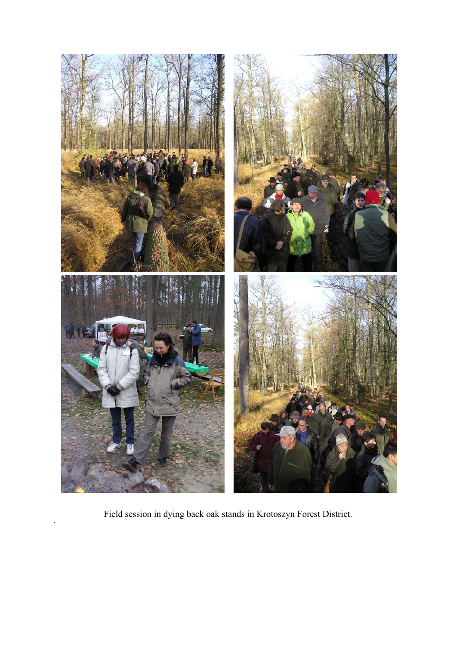

Field session in dying back oak stands in Krotoszyn Forest District.